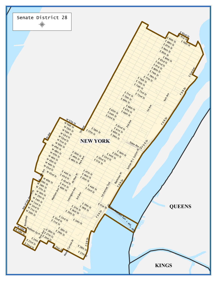